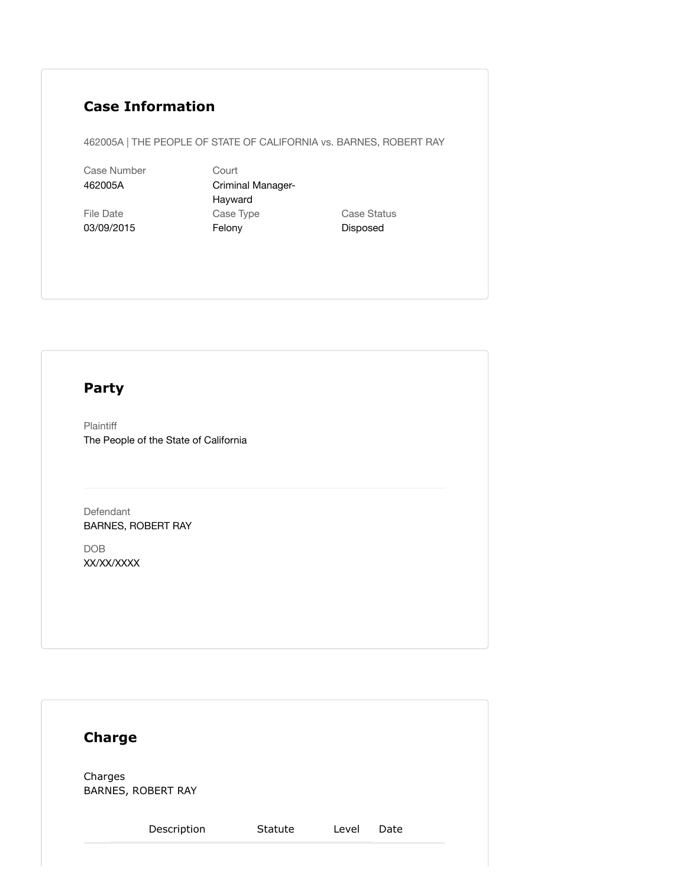## **Case Information**

462005A | THE PEOPLE OF STATE OF CALIFORNIA vs. BARNES, ROBERT RAY

Case Number 462005A

File Date 03/09/2015 Court Criminal Manager-Hayward Case Type Felony

Case Status Disposed

## **Party**

Plaintiff The People of the State of California

Defendant BARNES, ROBERT RAY

DOB XX/XX/XXXX

| <b>Charge</b>                 |         |       |      |  |
|-------------------------------|---------|-------|------|--|
| Charges<br>BARNES, ROBERT RAY |         |       |      |  |
| Description                   | Statute | Level | Date |  |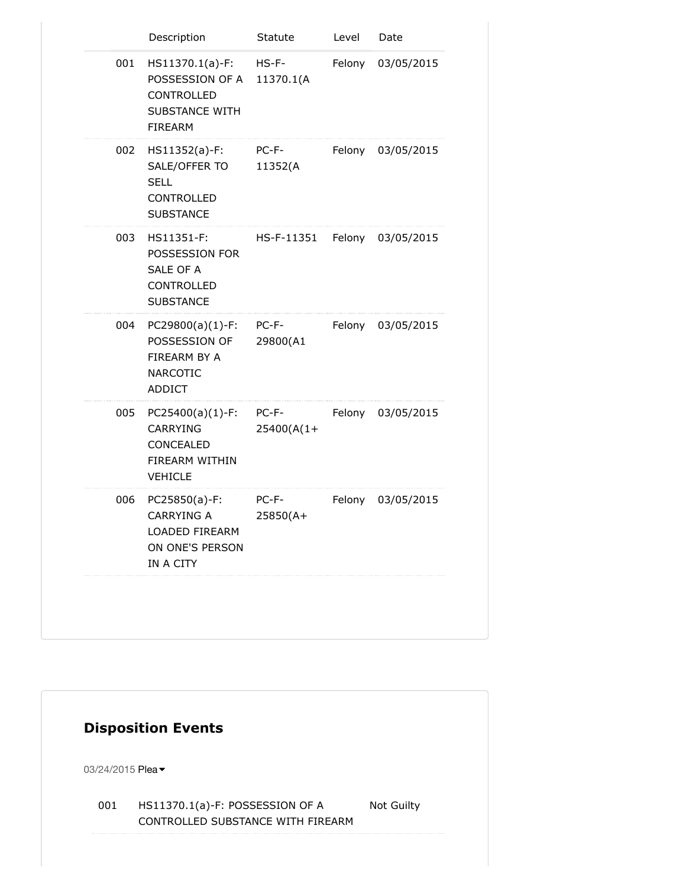|     | Description                                                                                   | Statute               | Level  | Date              |
|-----|-----------------------------------------------------------------------------------------------|-----------------------|--------|-------------------|
| 001 | HS11370.1(a)-F:<br>POSSESSION OF A<br>CONTROLLED<br><b>SUBSTANCE WITH</b><br><b>FIREARM</b>   | $HS-F-$<br>11370.1(A  | Felony | 03/05/2015        |
| 002 | HS11352(a)-F:<br>SALE/OFFER TO<br><b>SELL</b><br>CONTROLLED<br><b>SUBSTANCE</b>               | PC-F-<br>11352(A      |        | Felony 03/05/2015 |
| 003 | HS11351-F:<br>POSSESSION FOR<br>SALE OF A<br>CONTROLLED<br><b>SUBSTANCE</b>                   | HS-F-11351            |        | Felony 03/05/2015 |
| 004 | $PC29800(a)(1)-F: PC-F-$<br>POSSESSION OF<br>FIREARM BY A<br><b>NARCOTIC</b><br><b>ADDICT</b> | 29800(A1              |        | Felony 03/05/2015 |
| 005 | $PC25400(a)(1)-F:$<br><b>CARRYING</b><br>CONCEALED<br>FIREARM WITHIN<br><b>VEHICLE</b>        | PC-F-<br>$25400(A(1+$ |        | Felony 03/05/2015 |
| 006 | PC25850(a)-F:<br><b>CARRYING A</b><br>LOADED FIREARM<br>ON ONE'S PERSON<br>IN A CITY          | PC-F-<br>25850(A+     | Felony | 03/05/2015        |
|     |                                                                                               |                       |        |                   |

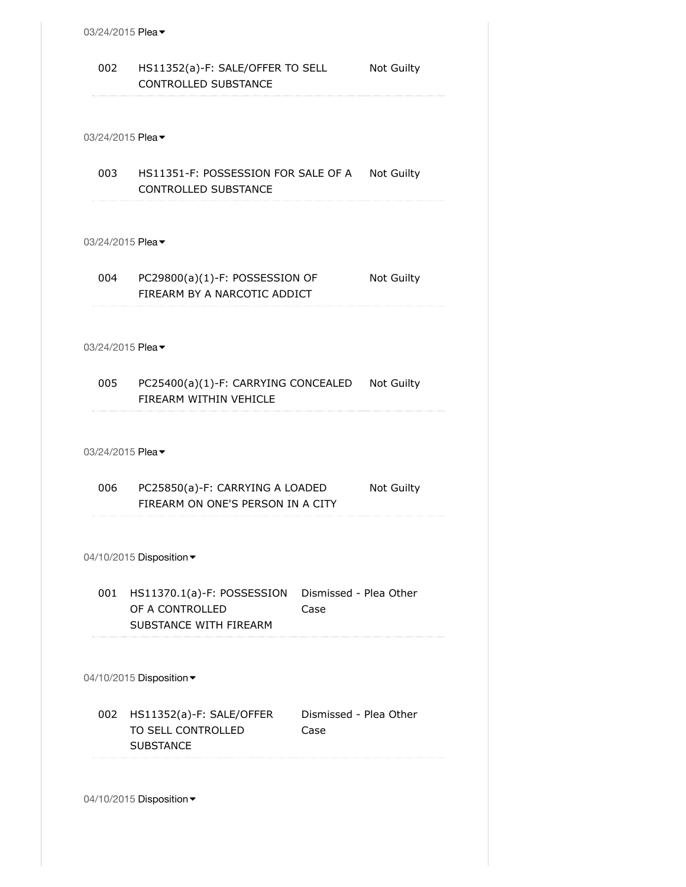|     | 03/24/2015 Plea $\blacktriangledown$                                              |                                |                   |
|-----|-----------------------------------------------------------------------------------|--------------------------------|-------------------|
| 002 | HS11352(a)-F: SALE/OFFER TO SELL<br><b>CONTROLLED SUBSTANCE</b>                   |                                | <b>Not Guilty</b> |
|     |                                                                                   |                                |                   |
|     | 03/24/2015 Plea ▼                                                                 |                                |                   |
|     | 003 HS11351-F: POSSESSION FOR SALE OF A Not Guilty<br><b>CONTROLLED SUBSTANCE</b> |                                |                   |
|     | 03/24/2015 Plea ▼                                                                 |                                |                   |
| 004 | PC29800(a)(1)-F: POSSESSION OF<br>FIREARM BY A NARCOTIC ADDICT                    |                                | Not Guilty        |
|     |                                                                                   |                                |                   |
|     | 03/24/2015 Plea ▼                                                                 |                                |                   |
|     | 005 PC25400(a)(1)-F: CARRYING CONCEALED Not Guilty<br>FIREARM WITHIN VEHICLE      |                                |                   |
|     | 03/24/2015 Plea ▼                                                                 |                                |                   |
| 006 | PC25850(a)-F: CARRYING A LOADED                                                   |                                |                   |
|     | FIREARM ON ONE'S PERSON IN A CITY                                                 |                                | <b>Not Guilty</b> |
|     |                                                                                   |                                |                   |
|     | 04/10/2015 Disposition -                                                          |                                |                   |
|     | 001 HS11370.1(a)-F: POSSESSION<br>OF A CONTROLLED<br>SUBSTANCE WITH FIREARM       | Dismissed - Plea Other<br>Case |                   |
|     | 04/10/2015 Disposition -                                                          |                                |                   |
|     | 002 HS11352(a)-F: SALE/OFFER<br>TO SELL CONTROLLED<br><b>SUBSTANCE</b>            | Dismissed - Plea Other<br>Case |                   |
|     | 04/10/2015 Disposition -                                                          |                                |                   |